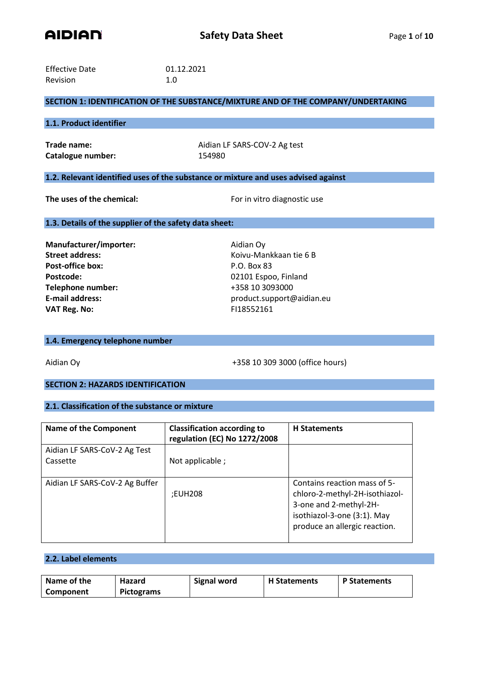

| <b>Effective Date</b> | 01.12.2021 |
|-----------------------|------------|
| Revision              | 1.0        |

# **SECTION 1: IDENTIFICATION OF THE SUBSTANCE/MIXTURE AND OF THE COMPANY/UNDERTAKING**

## **1.1. Product identifier**

Catalogue number: 154980

**Trade name:** Aidian LF SARS-COV-2 Ag test

# **1.2. Relevant identified uses of the substance or mixture and uses advised against**

**The uses of the chemical:** For in vitro diagnostic use

#### **1.3. Details of the supplier of the safety data sheet:**

**Manufacturer/importer:** Aidian Oy **Post-office box:** P.O. Box 83 Postcode: 02101 Espoo, Finland **Telephone number:** +358 10 3093000 **VAT Reg. No:** FI18552161

**Street address:** Koivu-Mankkaan tie 6 B **E-mail address:** product.support@aidian.eu

#### **1.4. Emergency telephone number**

Aidian Oy +358 10 309 3000 (office hours)

# **SECTION 2: HAZARDS IDENTIFICATION**

## **2.1. Classification of the substance or mixture**

| <b>Name of the Component</b>   | <b>Classification according to</b><br>regulation (EC) No 1272/2008 | <b>H</b> Statements            |
|--------------------------------|--------------------------------------------------------------------|--------------------------------|
| Aidian LF SARS-CoV-2 Ag Test   |                                                                    |                                |
| Cassette                       | Not applicable;                                                    |                                |
|                                |                                                                    |                                |
| Aidian LF SARS-CoV-2 Ag Buffer |                                                                    | Contains reaction mass of 5-   |
|                                | :EUH208                                                            | chloro-2-methyl-2H-isothiazol- |
|                                |                                                                    | 3-one and 2-methyl-2H-         |
|                                |                                                                    | isothiazol-3-one (3:1). May    |
|                                |                                                                    | produce an allergic reaction.  |
|                                |                                                                    |                                |

# **2.2. Label elements**

| Name of the | Hazard     | <b>Signal word</b> | <b>H</b> Statements | <b>P Statements</b> |
|-------------|------------|--------------------|---------------------|---------------------|
| Component   | Pictograms |                    |                     |                     |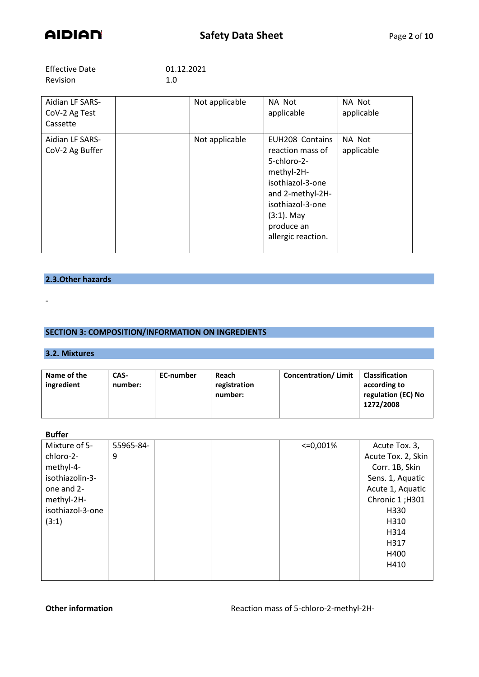

| <b>Effective Date</b> | 01.12.2021 |
|-----------------------|------------|
| Revision              | 1.0        |

| Aidian LF SARS-<br>CoV-2 Ag Test<br>Cassette | Not applicable | NA Not<br>applicable                                                                                                                                                              | NA Not<br>applicable |
|----------------------------------------------|----------------|-----------------------------------------------------------------------------------------------------------------------------------------------------------------------------------|----------------------|
| Aidian LF SARS-<br>CoV-2 Ag Buffer           | Not applicable | EUH208 Contains<br>reaction mass of<br>5-chloro-2-<br>methyl-2H-<br>isothiazol-3-one<br>and 2-methyl-2H-<br>isothiazol-3-one<br>$(3:1)$ . May<br>produce an<br>allergic reaction. | NA Not<br>applicable |

# **2.3.Other hazards**

# **SECTION 3: COMPOSITION/INFORMATION ON INGREDIENTS**

# **3.2. Mixtures**

-

| Name of the<br>ingredient | CAS-<br>number: | EC-number | Reach<br>registration<br>number: | <b>Concentration/Limit</b> | <b>Classification</b><br>according to<br>regulation (EC) No<br>1272/2008 |
|---------------------------|-----------------|-----------|----------------------------------|----------------------------|--------------------------------------------------------------------------|
|                           |                 |           |                                  |                            |                                                                          |

### **Buffer**

| Mixture of 5-    | 55965-84- |  | $\leq 0.001\%$ | Acute Tox. 3,      |
|------------------|-----------|--|----------------|--------------------|
| chloro-2-        | 9         |  |                | Acute Tox. 2, Skin |
| methyl-4-        |           |  |                | Corr. 1B, Skin     |
| isothiazolin-3-  |           |  |                | Sens. 1, Aquatic   |
| one and 2-       |           |  |                | Acute 1, Aquatic   |
| methyl-2H-       |           |  |                | Chronic 1;H301     |
| isothiazol-3-one |           |  |                | H330               |
| (3:1)            |           |  |                | H310               |
|                  |           |  |                | H314               |
|                  |           |  |                | H317               |
|                  |           |  |                | H400               |
|                  |           |  |                | H410               |
|                  |           |  |                |                    |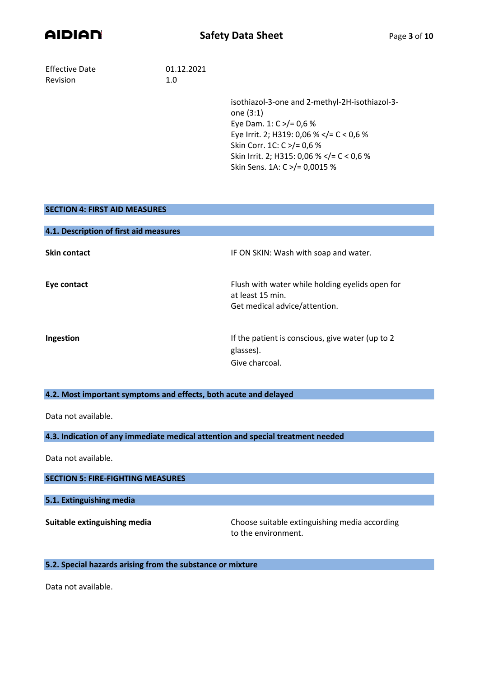

Effective Date 01.12.2021 Revision 1.0

isothiazol-3-one and 2-methyl-2H-isothiazol-3 one (3:1) Eye Dam. 1: C >/= 0,6 % Eye Irrit. 2; H319: 0,06 % </= C < 0,6 % Skin Corr. 1C: C >/= 0,6 % Skin Irrit. 2; H315: 0,06 % </= C < 0,6 % Skin Sens. 1A: C >/= 0,0015 %

# **SECTION 4: FIRST AID MEASURES**

| 4.1. Description of first aid measures |                                                                                                      |
|----------------------------------------|------------------------------------------------------------------------------------------------------|
| <b>Skin contact</b>                    | IF ON SKIN: Wash with soap and water.                                                                |
| Eye contact                            | Flush with water while holding eyelids open for<br>at least 15 min.<br>Get medical advice/attention. |
| Ingestion                              | If the patient is conscious, give water (up to 2)<br>glasses).<br>Give charcoal.                     |

## **4.2. Most important symptoms and effects, both acute and delayed**

Data not available.

**4.3. Indication of any immediate medical attention and special treatment needed**

Data not available.

#### **SECTION 5: FIRE-FIGHTING MEASURES**

**5.1. Extinguishing media**

**Suitable extinguishing media** Choose suitable extinguishing media according to the environment.

## **5.2. Special hazards arising from the substance or mixture**

Data not available.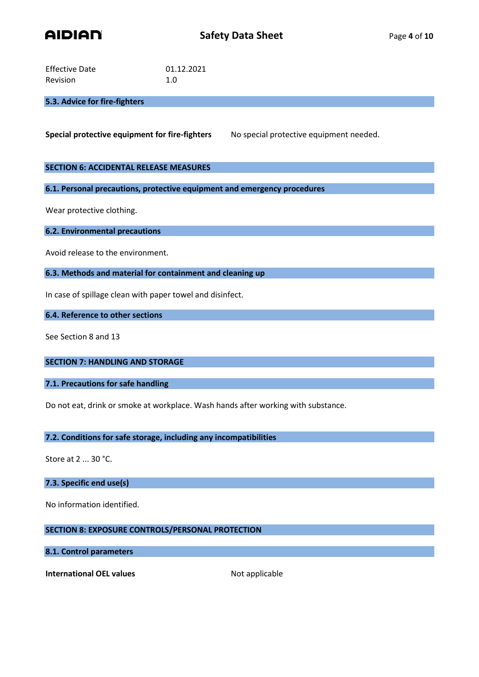

| <b>Effective Date</b> | 01.12.2021 |
|-----------------------|------------|
| <b>Revision</b>       | 1.0        |

# **5.3. Advice for fire-fighters**

**Special protective equipment for fire-fighters** No special protective equipment needed.

## **SECTION 6: ACCIDENTAL RELEASE MEASURES**

**6.1. Personal precautions, protective equipment and emergency procedures**

Wear protective clothing.

**6.2. Environmental precautions**

Avoid release to the environment.

**6.3. Methods and material for containment and cleaning up**

In case of spillage clean with paper towel and disinfect.

**6.4. Reference to other sections**

See Section 8 and 13

**SECTION 7: HANDLING AND STORAGE**

**7.1. Precautions for safe handling**

Do not eat, drink or smoke at workplace. Wash hands after working with substance.

**7.2. Conditions for safe storage, including any incompatibilities**

Store at 2 ... 30 °C.

**7.3. Specific end use(s)**

No information identified.

# **SECTION 8: EXPOSURE CONTROLS/PERSONAL PROTECTION**

# **8.1. Control parameters**

**International OEL values** Not applicable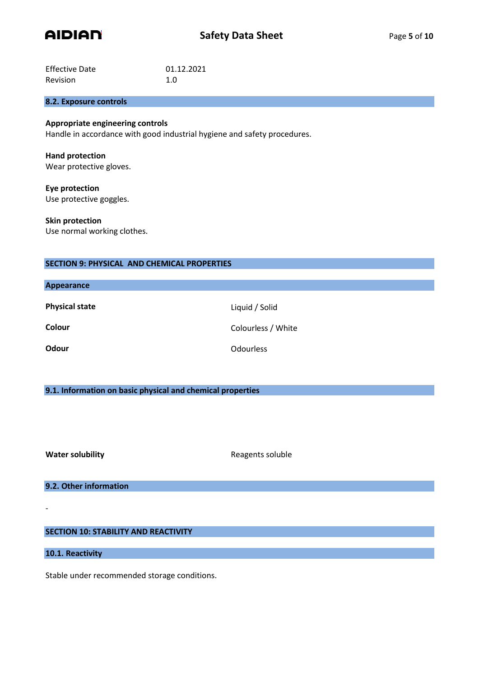

| <b>Effective Date</b> | 01.12.2021 |
|-----------------------|------------|
| <b>Revision</b>       | 1.0        |

## **8.2. Exposure controls**

# **Appropriate engineering controls**

Handle in accordance with good industrial hygiene and safety procedures.

# **Hand protection**

Wear protective gloves.

**Eye protection** Use protective goggles.

**Skin protection** Use normal working clothes.

# **SECTION 9: PHYSICAL AND CHEMICAL PROPERTIES**

| <b>Appearance</b>     |                    |
|-----------------------|--------------------|
| <b>Physical state</b> | Liquid / Solid     |
| Colour                | Colourless / White |
| <b>Odour</b>          | <b>Odourless</b>   |

### **9.1. Information on basic physical and chemical properties**

**Water solubility Water solubility Reagents soluble** 

**9.2. Other information**

# **SECTION 10: STABILITY AND REACTIVITY**

**10.1. Reactivity**

-

Stable under recommended storage conditions.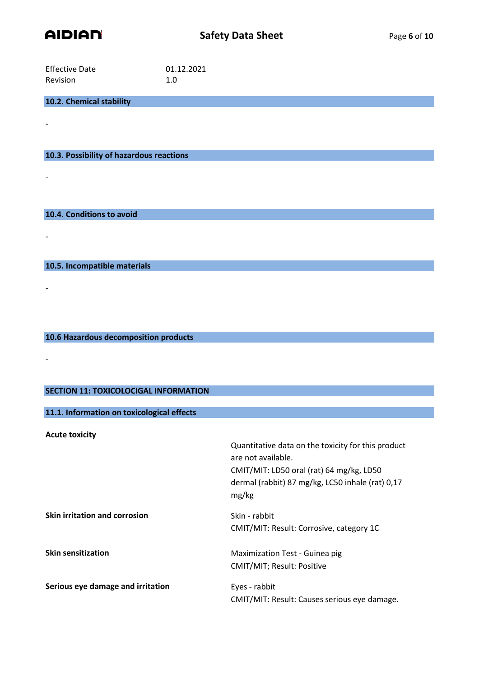

-

-

-

-

-

| <b>Effective Date</b> | 01.12.2021 |
|-----------------------|------------|
| <b>Revision</b>       | 1.0        |

**10.2. Chemical stability**

**10.3. Possibility of hazardous reactions**

**10.4. Conditions to avoid**

**10.5. Incompatible materials**

**10.6 Hazardous decomposition products**

# **SECTION 11: TOXICOLOCIGAL INFORMATION**

**11.1. Information on toxicological effects**

**Acute toxicity** Quantitative data on the toxicity for this product are not available. CMIT/MIT: LD50 oral (rat) 64 mg/kg, LD50 dermal (rabbit) 87 mg/kg, LC50 inhale (rat) 0,17 mg/kg **Skin irritation and corrosion** Skin - rabbit CMIT/MIT: Result: Corrosive, category 1C **Skin sensitization** Maximization Test - Guinea pig CMIT/MIT; Result: Positive **Serious eye damage and irritation** Eyes - rabbit CMIT/MIT: Result: Causes serious eye damage.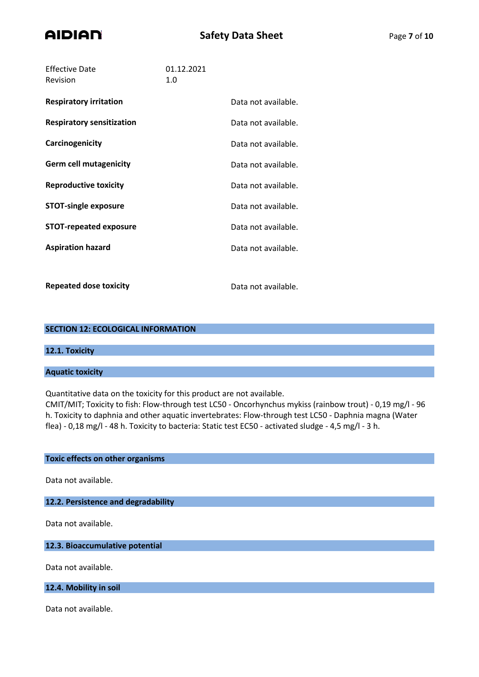

| <b>Effective Date</b><br>Revision | 01.12.2021<br>1.0 |                     |
|-----------------------------------|-------------------|---------------------|
| <b>Respiratory irritation</b>     |                   | Data not available. |
| <b>Respiratory sensitization</b>  |                   | Data not available. |
| Carcinogenicity                   |                   | Data not available. |
| <b>Germ cell mutagenicity</b>     |                   | Data not available. |
| <b>Reproductive toxicity</b>      |                   | Data not available. |
| <b>STOT-single exposure</b>       |                   | Data not available. |
| <b>STOT-repeated exposure</b>     |                   | Data not available. |
| <b>Aspiration hazard</b>          |                   | Data not available. |
|                                   |                   |                     |
| <b>Repeated dose toxicity</b>     |                   | Data not available. |

## **SECTION 12: ECOLOGICAL INFORMATION**

# **12.1. Toxicity**

**Aquatic toxicity**

Quantitative data on the toxicity for this product are not available.

CMIT/MIT; Toxicity to fish: Flow-through test LC50 - Oncorhynchus mykiss (rainbow trout) - 0,19 mg/l - 96 h. Toxicity to daphnia and other aquatic invertebrates: Flow-through test LC50 - Daphnia magna (Water flea) - 0,18 mg/l - 48 h. Toxicity to bacteria: Static test EC50 - activated sludge - 4,5 mg/l - 3 h.

### **Toxic effects on other organisms**

Data not available.

# **12.2. Persistence and degradability**

Data not available.

# **12.3. Bioaccumulative potential**

Data not available.

#### **12.4. Mobility in soil**

Data not available.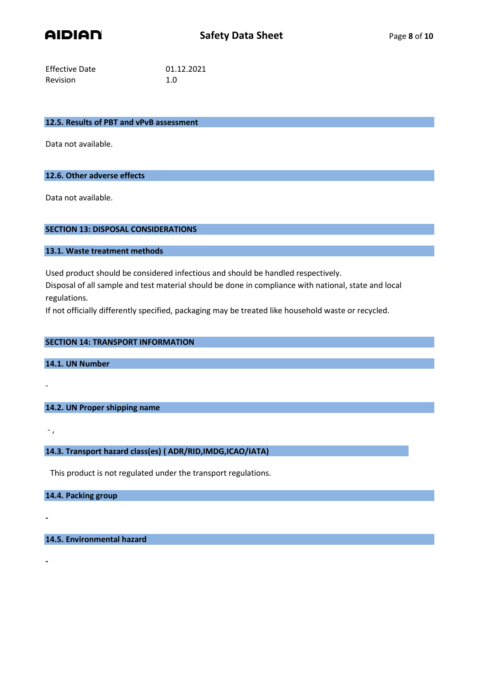

| Effective Date | 01.12.2021 |
|----------------|------------|
| Revision       | 1.0        |

#### **12.5. Results of PBT and vPvB assessment**

Data not available.

#### **12.6. Other adverse effects**

Data not available.

## **SECTION 13: DISPOSAL CONSIDERATIONS**

**13.1. Waste treatment methods**

Used product should be considered infectious and should be handled respectively.

Disposal of all sample and test material should be done in compliance with national, state and local regulations.

If not officially differently specified, packaging may be treated like household waste or recycled.

## **SECTION 14: TRANSPORT INFORMATION**

**14.1. UN Number**

## **14.2. UN Proper shipping name**

- ,

**-**

**-**

-

# **14.3. Transport hazard class(es) ( ADR/RID,IMDG,ICAO/IATA)**

This product is not regulated under the transport regulations.

## **14.4. Packing group**

**14.5. Environmental hazard**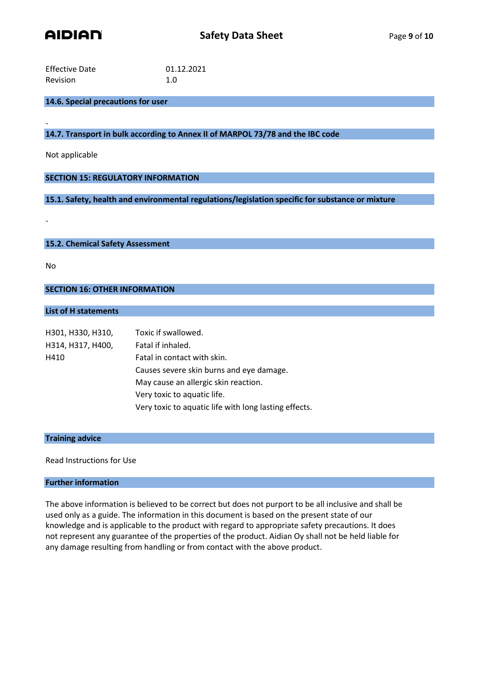

| <b>Effective Date</b> | 01.12.2021 |
|-----------------------|------------|
| <b>Revision</b>       | 1.0        |

# **14.6. Special precautions for user**

- **14.7. Transport in bulk according to Annex II of MARPOL 73/78 and the IBC code**

Not applicable

**SECTION 15: REGULATORY INFORMATION**

**15.1. Safety, health and environmental regulations/legislation specific for substance or mixture**

**15.2. Chemical Safety Assessment**

No

-

**SECTION 16: OTHER INFORMATION**

## **List of H statements**

| H301, H330, H310, | Toxic if swallowed.                                   |
|-------------------|-------------------------------------------------------|
| H314, H317, H400, | Fatal if inhaled.                                     |
| H410              | Fatal in contact with skin.                           |
|                   | Causes severe skin burns and eye damage.              |
|                   | May cause an allergic skin reaction.                  |
|                   | Very toxic to aquatic life.                           |
|                   | Very toxic to aquatic life with long lasting effects. |

## **Training advice**

Read Instructions for Use

## **Further information**

The above information is believed to be correct but does not purport to be all inclusive and shall be used only as a guide. The information in this document is based on the present state of our knowledge and is applicable to the product with regard to appropriate safety precautions. It does not represent any guarantee of the properties of the product. Aidian Oy shall not be held liable for any damage resulting from handling or from contact with the above product.